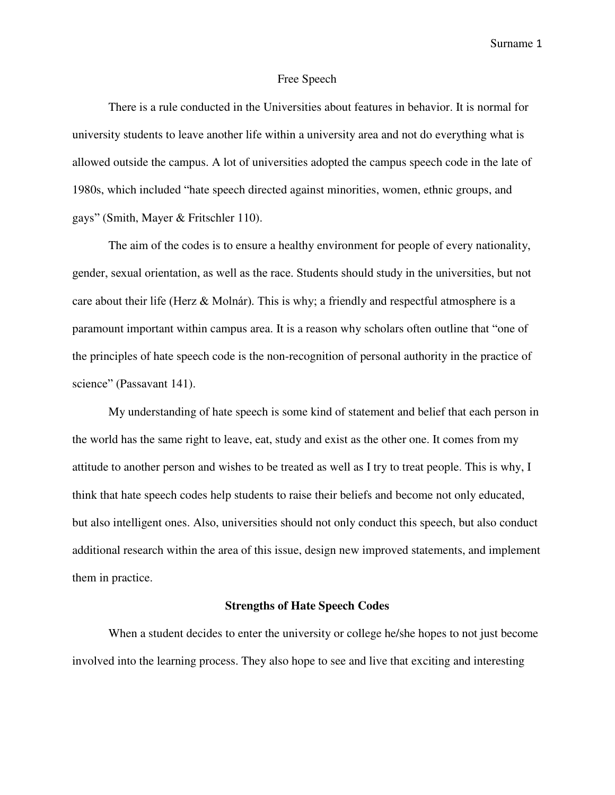#### Free Speech

There is a rule conducted in the Universities about features in behavior. It is normal for university students to leave another life within a university area and not do everything what is allowed outside the campus. A lot of universities adopted the campus speech code in the late of 1980s, which included "hate speech directed against minorities, women, ethnic groups, and gays" (Smith, Mayer & Fritschler 110).

The aim of the codes is to ensure a healthy environment for people of every nationality, gender, sexual orientation, as well as the race. Students should study in the universities, but not care about their life (Herz & Molnár). This is why; a friendly and respectful atmosphere is a paramount important within campus area. It is a reason why scholars often outline that "one of the principles of hate speech code is the non-recognition of personal authority in the practice of science" (Passavant 141).

My understanding of hate speech is some kind of statement and belief that each person in the world has the same right to leave, eat, study and exist as the other one. It comes from my attitude to another person and wishes to be treated as well as I try to treat people. This is why, I think that hate speech codes help students to raise their beliefs and become not only educated, but also intelligent ones. Also, universities should not only conduct this speech, but also conduct additional research within the area of this issue, design new improved statements, and implement them in practice.

### **Strengths of Hate Speech Codes**

When a student decides to enter the university or college he/she hopes to not just become involved into the learning process. They also hope to see and live that exciting and interesting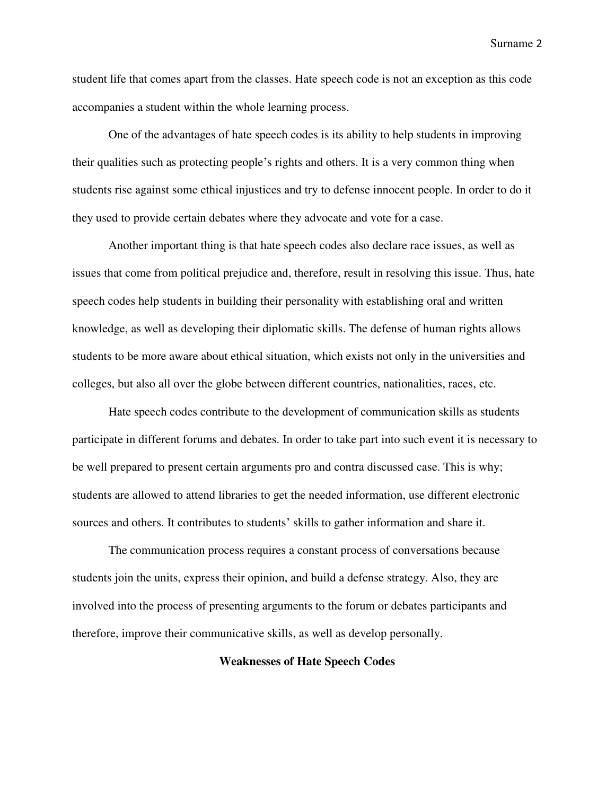student life that comes apart from the classes. Hate speech code is not an exception as this code accompanies a student within the whole learning process.

One of the advantages of hate speech codes is its ability to help students in improving their qualities such as protecting people's rights and others. It is a very common thing when students rise against some ethical injustices and try to defense innocent people. In order to do it they used to provide certain debates where they advocate and vote for a case.

Another important thing is that hate speech codes also declare race issues, as well as issues that come from political prejudice and, therefore, result in resolving this issue. Thus, hate speech codes help students in building their personality with establishing oral and written knowledge, as well as developing their diplomatic skills. The defense of human rights allows students to be more aware about ethical situation, which exists not only in the universities and colleges, but also all over the globe between different countries, nationalities, races, etc.

Hate speech codes contribute to the development of communication skills as students participate in different forums and debates. In order to take part into such event it is necessary to be well prepared to present certain arguments pro and contra discussed case. This is why; students are allowed to attend libraries to get the needed information, use different electronic sources and others. It contributes to students' skills to gather information and share it.

The communication process requires a constant process of conversations because students join the units, express their opinion, and build a defense strategy. Also, they are involved into the process of presenting arguments to the forum or debates participants and therefore, improve their communicative skills, as well as develop personally.

## **Weaknesses of Hate Speech Codes**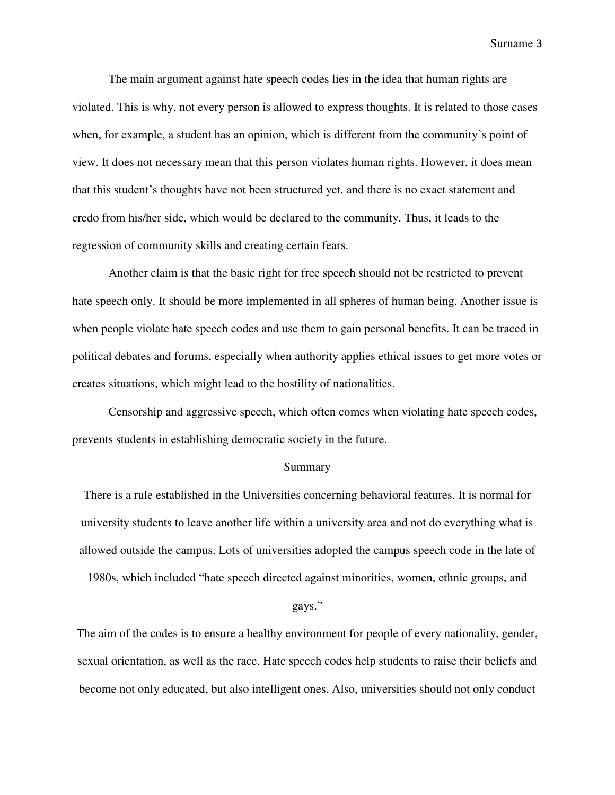The main argument against hate speech codes lies in the idea that human rights are violated. This is why, not every person is allowed to express thoughts. It is related to those cases when, for example, a student has an opinion, which is different from the community's point of view. It does not necessary mean that this person violates human rights. However, it does mean that this student's thoughts have not been structured yet, and there is no exact statement and credo from his/her side, which would be declared to the community. Thus, it leads to the regression of community skills and creating certain fears.

Another claim is that the basic right for free speech should not be restricted to prevent hate speech only. It should be more implemented in all spheres of human being. Another issue is when people violate hate speech codes and use them to gain personal benefits. It can be traced in political debates and forums, especially when authority applies ethical issues to get more votes or creates situations, which might lead to the hostility of nationalities.

Censorship and aggressive speech, which often comes when violating hate speech codes, prevents students in establishing democratic society in the future.

# Summary

There is a rule established in the Universities concerning behavioral features. It is normal for university students to leave another life within a university area and not do everything what is allowed outside the campus. Lots of universities adopted the campus speech code in the late of 1980s, which included "hate speech directed against minorities, women, ethnic groups, and

#### gays."

The aim of the codes is to ensure a healthy environment for people of every nationality, gender, sexual orientation, as well as the race. Hate speech codes help students to raise their beliefs and become not only educated, but also intelligent ones. Also, universities should not only conduct